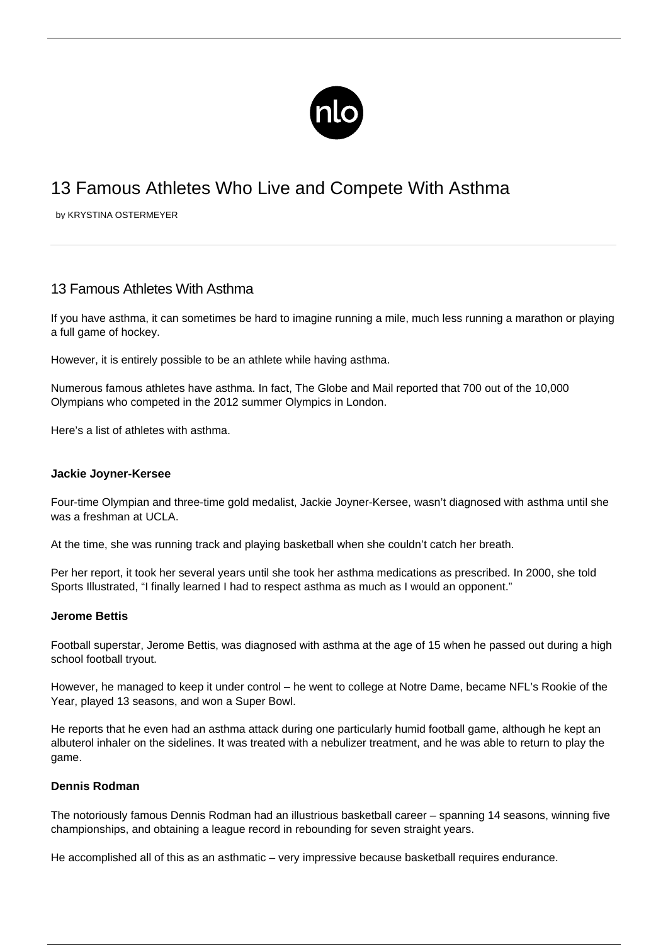

# 13 Famous Athletes Who Live and Compete With Asthma

by KRYSTINA OSTERMEYER

# 13 Famous Athletes With Asthma

If you have [asthma,](/what-is-asthma/) it can sometimes be hard to imagine [running](/running-with-asthma/) a mile, much less running a marathon or playing a full game of hockey.

However, it is entirely possible to be an athlete while having asthma.

Numerous famous athletes have asthma. In fact, The Globe and Mail reported that 700 out of the 10,000 Olympians who competed in the 2012 summer Olympics in London.

Here's a list of athletes with asthma.

#### **Jackie Joyner-Kersee**

Four-time Olympian and three-time gold medalist, Jackie Joyner-Kersee, wasn't diagnosed with asthma until she was a freshman at UCLA.

At the time, she was running track and playing basketball when she couldn't catch her breath.

Per her report, it took her several years until she took her asthma medications as prescribed. In 2000, she told Sports Illustrated, "I finally learned I had to respect asthma as much as I would an opponent."

#### **Jerome Bettis**

Football superstar, Jerome Bettis, was diagnosed with asthma at the age of 15 when he passed out during a high school football tryout.

However, he managed to keep it under control – he went to college at Notre Dame, became NFL's Rookie of the Year, played 13 seasons, and won a Super Bowl.

He reports that he even had an asthma attack during one particularly humid football game, although he kept an albuterol inhaler on the sidelines. It was treated with a nebulizer treatment, and he was able to return to play the game.

### **Dennis Rodman**

The notoriously famous Dennis Rodman had an illustrious basketball career – spanning 14 seasons, winning five championships, and obtaining a league record in rebounding for seven straight years.

He accomplished all of this as an asthmatic – very impressive because basketball requires endurance.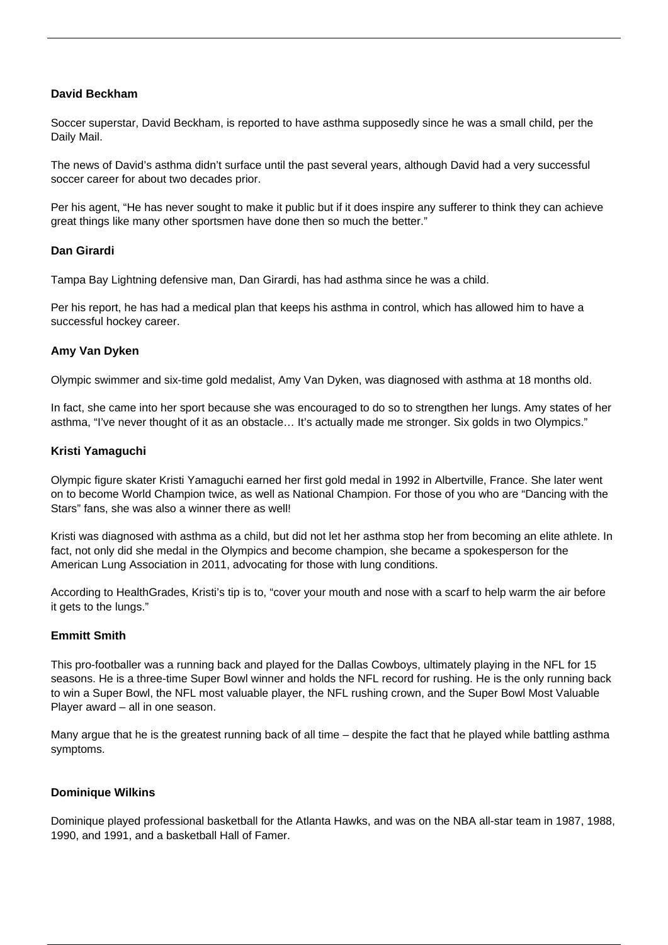## **David Beckham**

Soccer superstar, David Beckham, is reported to have asthma supposedly since he was a small child, per the Daily Mail.

The news of David's asthma didn't surface until the past several years, although David had a very successful soccer career for about two decades prior.

Per his agent, "He has never sought to make it public but if it does inspire any sufferer to think they can achieve great things like many other sportsmen have done then so much the better."

#### **Dan Girardi**

Tampa Bay Lightning defensive man, Dan Girardi, has had asthma since he was a child.

Per his report, he has had a medical plan that keeps his asthma in control, which has allowed him to have a successful hockey career.

#### **Amy Van Dyken**

Olympic swimmer and six-time gold medalist, Amy Van Dyken, was diagnosed with asthma at 18 months old.

In fact, she came into her sport because she was encouraged to do so to strengthen her lungs. Amy states of her asthma, "I've never thought of it as an obstacle… It's actually made me stronger. Six golds in two Olympics."

#### **Kristi Yamaguchi**

Olympic figure skater Kristi Yamaguchi earned her first gold medal in 1992 in Albertville, France. She later went on to become World Champion twice, as well as National Champion. For those of you who are "Dancing with the Stars" fans, she was also a winner there as well!

Kristi was diagnosed with asthma as a child, but did not let her asthma stop her from becoming an elite athlete. In fact, not only did she medal in the Olympics and become champion, she became a spokesperson for the American Lung Association in 2011, advocating for those with lung conditions.

According to HealthGrades, Kristi's tip is to, "cover your mouth and nose with a scarf to help warm the air before it gets to the lungs."

#### **Emmitt Smith**

This pro-footballer was a running back and played for the Dallas Cowboys, ultimately playing in the NFL for 15 seasons. He is a three-time Super Bowl winner and holds the NFL record for rushing. He is the only running back to win a Super Bowl, the NFL most valuable player, the NFL rushing crown, and the Super Bowl Most Valuable Player award – all in one season.

Many argue that he is the greatest running back of all time – despite the fact that he played while battling asthma symptoms.

#### **Dominique Wilkins**

Dominique played professional basketball for the Atlanta Hawks, and was on the NBA all-star team in 1987, 1988, 1990, and 1991, and a basketball Hall of Famer.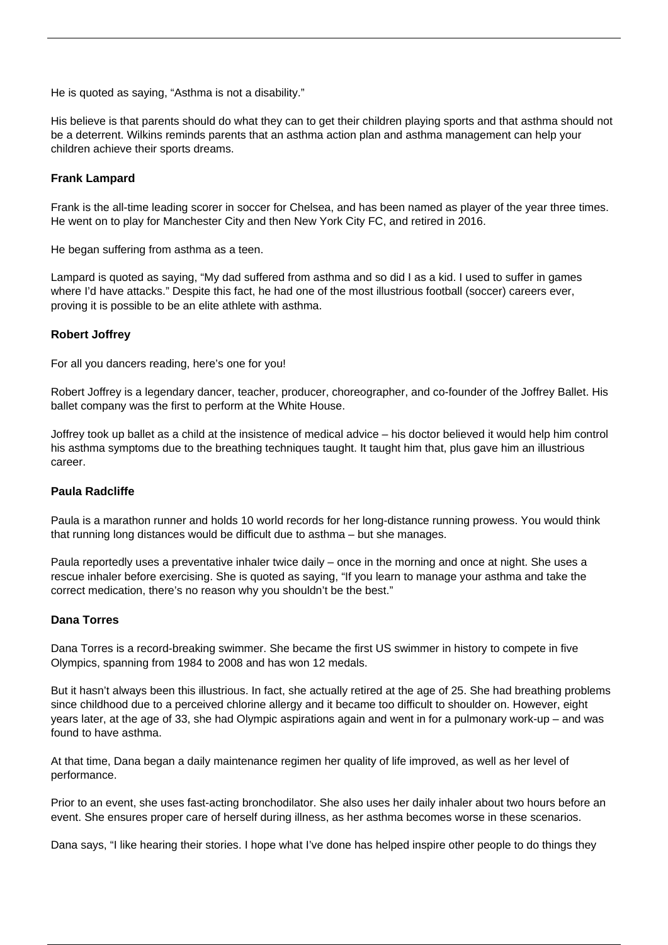He is quoted as saying, "Asthma is not a disability."

His believe is that parents should do what they can to get their children playing sports and that asthma should not be a deterrent. Wilkins reminds parents that an asthma action plan and asthma management can help your children achieve their sports dreams.

### **Frank Lampard**

Frank is the all-time leading scorer in soccer for Chelsea, and has been named as player of the year three times. He went on to play for Manchester City and then New York City FC, and retired in 2016.

He began suffering from asthma as a teen.

Lampard is quoted as saying, "My dad suffered from asthma and so did I as a kid. I used to suffer in games where I'd have attacks." Despite this fact, he had one of the most illustrious football (soccer) careers ever, proving it is possible to be an elite athlete with asthma.

## **Robert Joffrey**

For all you dancers reading, here's one for you!

Robert Joffrey is a legendary dancer, teacher, producer, choreographer, and co-founder of the Joffrey Ballet. His ballet company was the first to perform at the White House.

Joffrey took up ballet as a child at the insistence of medical advice – his doctor believed it would help him control his asthma symptoms due to the breathing techniques taught. It taught him that, plus gave him an illustrious career.

#### **Paula Radcliffe**

Paula is a marathon runner and holds 10 world records for her long-distance running prowess. You would think that running long distances would be difficult due to asthma – but she manages.

Paula reportedly uses a preventative inhaler twice daily – once in the morning and once at night. She uses a rescue inhaler before exercising. She is quoted as saying, "If you learn to manage your asthma and take the correct medication, there's no reason why you shouldn't be the best."

#### **Dana Torres**

Dana Torres is a record-breaking swimmer. She became the first US swimmer in history to compete in five Olympics, spanning from 1984 to 2008 and has won 12 medals.

But it hasn't always been this illustrious. In fact, she actually retired at the age of 25. She had breathing problems since childhood due to a perceived chlorine allergy and it became too difficult to shoulder on. However, eight years later, at the age of 33, she had Olympic aspirations again and went in for a pulmonary work-up – and was found to have asthma.

At that time, Dana began a daily maintenance regimen her quality of life improved, as well as her level of performance.

Prior to an event, she uses fast-acting bronchodilator. She also uses her daily inhaler about two hours before an event. She ensures proper care of herself during illness, as her asthma becomes worse in these scenarios.

Dana says, "I like hearing their stories. I hope what I've done has helped inspire other people to do things they